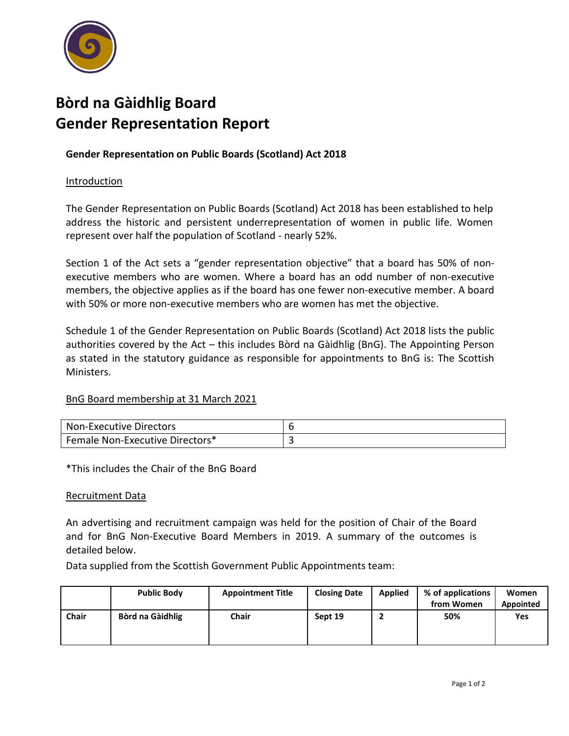

# **Bòrd na Gàidhlig Board Gender Representation Report**

## **Gender Representation on Public Boards (Scotland) Act 2018**

### **Introduction**

The Gender Representation on Public Boards (Scotland) Act 2018 has been established to help address the historic and persistent underrepresentation of women in public life. Women represent over half the population of Scotland - nearly 52%.

Section 1 of the Act sets a "gender representation objective" that a board has 50% of nonexecutive members who are women. Where a board has an odd number of non-executive members, the objective applies as if the board has one fewer non-executive member. A board with 50% or more non-executive members who are women has met the objective.

Schedule 1 of the Gender Representation on Public Boards (Scotland) Act 2018 lists the public authorities covered by the Act – this includes Bòrd na Gàidhlig (BnG). The Appointing Person as stated in the statutory guidance as responsible for appointments to BnG is: The Scottish Ministers.

#### BnG Board membership at 31 March 2021

| Non-Executive Directors                |  |
|----------------------------------------|--|
| <b>Female Non-Executive Directors*</b> |  |

\*This includes the Chair of the BnG Board

#### Recruitment Data

An advertising and recruitment campaign was held for the position of Chair of the Board and for BnG Non-Executive Board Members in 2019. A summary of the outcomes is detailed below.

Data supplied from the Scottish Government Public Appointments team:

|              | <b>Public Body</b> | <b>Appointment Title</b> | <b>Closing Date</b> | <b>Applied</b> | % of applications<br>from Women | Women<br>Appointed |
|--------------|--------------------|--------------------------|---------------------|----------------|---------------------------------|--------------------|
| <b>Chair</b> | Bòrd na Gàidhlig   | <b>Chair</b>             | Sept 19             |                | 50%                             | Yes                |